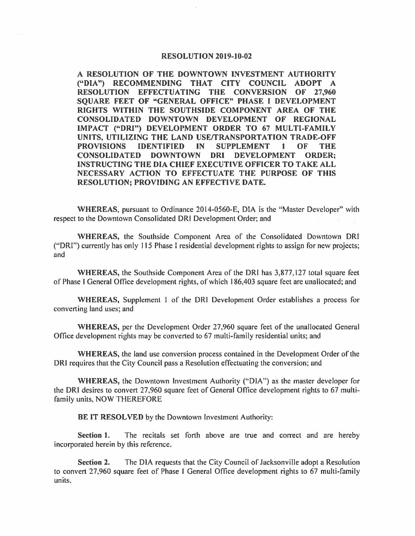## **RESOLUTION 2019-10-02**

**A RESOLUTION OF THE DOWNTOWN INVESTMENT AUTHORITY ("DIA") RECOMMENDING THAT CITY COUNCIL ADOPT A RESOLUTION EFFECTUATING THE CONVERSION OF 27,960 SQUARE FEET OF "GENERAL OFFICE" PHASE** I **DEVELOPMENT RIGHTS WITHIN THE SOUTHSIDE COMPONENT AREA OF THE CONSOLIDATED DOWNTOWN DEVELOPMENT OF REGIONAL IMPACT ("DRI") DEVELOPMENT ORDER TO 67 MULTI-FAMILY UNITS, UTILIZING THE LAND USE/TRANSPORTATION TRADE-OFF PROVISIONS IDENTIFIED IN SUPPLEMENT** I **OF THE CONSOLIDATED DOWNTOWN DRI DEVELOPMENT ORDER; INSTRUCTING THE DIA CHIEF EXECUTIVE OFFICER TOT AKE ALL NECESSARY ACTION TO EFFECTUATE THE PURPOSE OF THIS RESOLUTION; PROVIDING AN EFFECTIVE DATE.** 

**WHEREAS,** pursuant to Ordinance 2014-0560-E, DIA is the "Master Developer" with respect to the Downtown Consolidated DRI Development Order; and

**WHEREAS,** the Southside Component Area of the Consolidated Downtown DRI ("DRI") currently has only 115 Phase I residential development rights to assign for new projects; and

**WHEREAS,** the Southside Component Area of the DRI has 3,877,127 total square feet of Phase I General Office development rights, of which 186,403 square feet are unallocated; and

**WHEREAS,** Supplement I of the DRI Development Order establishes a process for converting land uses; and

**WHEREAS,** per the Development Order 27,960 square feet of the unallocated General Office development rights may be converted to 67 multi-family residential units; and

**WHEREAS,** the land use conversion process contained in the Development Order of the DRI requires that the City Council pass a Resolution effectuating the conversion; and

**WHEREAS,** the Downtown Investment Authority (''DIA") as the master developer for the DRI desires to convert 27,960 square feet of General Office development rights to 67 multifamily units, NOW THEREFORE

**BE IT RESOLVED** by the Downtown Investment Authority:

**Section 1.** The recitals set forth above are true and correct and are hereby incorporated herein by this reference.

**Section 2.** The DIA requests that the City Council of Jacksonville adopt a Resolution to convert 27,960 square feet of Phase I General Office development rights to 67 multi-family units.